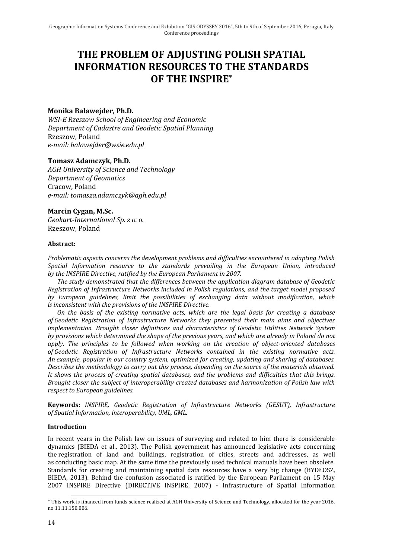# **THE PROBLEM OF ADJUSTING POLISH SPATIAL INFORMATION RESOURCES TO THE STANDARDS OF THE INSPIRE\***

# **Monika Balawejder, Ph.D.**

*WSI-E Rzeszow School of Engineering and Economic Department of Cadastre and Geodetic Spatial Planning* Rzeszow, Poland *e-mail: balawejder@wsie.edu.pl*

## **Tomasz Adamczyk, Ph.D.**

*AGH University of Science and Technology Department of Geomatics* Cracow, Poland *e-mail: tomasza.adamczyk@agh.edu.pl*

**Marcin Cygan, M.Sc.** *Geokart-International Sp. z o. o.* Rzeszow, Poland

## **Abstract:**

*Problematic aspects concerns the development problems and difficulties encountered in adapting Polish Spatial Information resource to the standards prevailing in the European Union, introduced by the INSPIRE Directive, ratified by the European Parliament in 2007.*

*The study demonstrated that the differences between the application diagram database of Geodetic Registration of Infrastructure Networks included in Polish regulations, and the target model proposed by European guidelines, limit the possibilities of exchanging data without modification, which is inconsistent with the provisions of the INSPIRE Directive.*

*On the basis of the existing normative acts, which are the legal basis for creating a database of Geodetic Registration of Infrastructure Networks they presented their main aims and objectives implementation. Brought closer definitions and characteristics of Geodetic Utilities Network System by provisions which determined the shape of the previous years, and which are already in Poland do not apply. The principles to be followed when working on the creation of object-oriented databases of Geodetic Registration of Infrastructure Networks contained in the existing normative acts. An example, popular in our country system, optimized for creating, updating and sharing of databases. Describes the methodology to carry out this process, depending on the source of the materials obtained. It shows the process of creating spatial databases, and the problems and difficulties that this brings. Brought closer the subject of interoperability created databases and harmonization of Polish law with respect to European guidelines.*

**Keywords:** *INSPIRE, Geodetic Registration of Infrastructure Networks (GESUT), Infrastructure of Spatial Information, interoperability, UML, GML.*

## **Introduction**

In recent years in the Polish law on issues of surveying and related to him there is considerable dynamics (BIEDA et al., 2013). The Polish government has announced legislative acts concerning the registration of land and buildings, registration of cities, streets and addresses, as well as conducting basic map. At the same time the previously used technical manuals have been obsolete. Standards for creating and maintaining spatial data resources have a very big change (BYDŁOSZ, BIEDA, 2013). Behind the confusion associated is ratified by the European Parliament on 15 May 2007 INSPIRE Directive (DIRECTIVE INSPIRE, 2007) - Infrastructure of Spatial Information

<sup>\*</sup> This work is financed from funds science realized at AGH University of Science and Technology, allocated for the year 2016, no 11.11.150.006.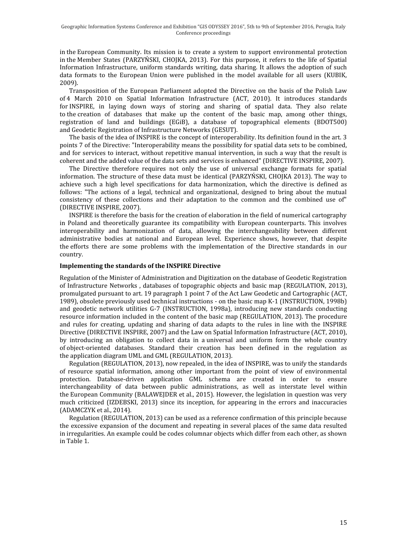in the European Community. Its mission is to create a system to support environmental protection in the Member States (PARZYŃSKI, CHOJKA, 2013). For this purpose, it refers to the life of Spatial Information Infrastructure, uniform standards writing, data sharing. It allows the adoption of such data formats to the European Union were published in the model available for all users (KUBIK, 2009).

Transposition of the European Parliament adopted the Directive on the basis of the Polish Law of 4 March 2010 on Spatial Information Infrastructure (ACT, 2010). It introduces standards for INSPIRE, in laying down ways of storing and sharing of spatial data. They also relate to the creation of databases that make up the content of the basic map, among other things, registration of land and buildings (EGiB), a database of topographical elements (BDOT500) and Geodetic Registration of Infrastructure Networks (GESUT).

The basis of the idea of INSPIRE is the concept of interoperability. Its definition found in the art. 3 points 7 of the Directive: "Interoperability means the possibility for spatial data sets to be combined, and for services to interact, without repetitive manual intervention, in such a way that the result is coherent and the added value of the data sets and services is enhanced" (DIRECTIVE INSPIRE, 2007).

The Directive therefore requires not only the use of universal exchange formats for spatial information. The structure of these data must be identical (PARZYŃSKI, CHOJKA 2013). The way to achieve such a high level specifications for data harmonization, which the directive is defined as follows: "The actions of a legal, technical and organizational, designed to bring about the mutual consistency of these collections and their adaptation to the common and the combined use of" (DIRECTIVE INSPIRE, 2007).

INSPIRE is therefore the basis for the creation of elaboration in the field of numerical cartography in Poland and theoretically guarantee its compatibility with European counterparts. This involves interoperability and harmonization of data, allowing the interchangeability between different administrative bodies at national and European level. Experience shows, however, that despite the efforts there are some problems with the implementation of the Directive standards in our country.

## **Implementing the standards of the INSPIRE Directive**

Regulation of the Minister of Administration and Digitization on the database of Geodetic Registration of Infrastructure Networks , databases of topographic objects and basic map (REGULATION, 2013), promulgated pursuant to art. 19 paragraph 1 point 7 of the Act Law Geodetic and Cartographic (ACT, 1989), obsolete previously used technical instructions - on the basic map K-1 (INSTRUCTION, 1998b) and geodetic network utilities G-7 (INSTRUCTION, 1998a), introducing new standards conducting resource information included in the content of the basic map (REGULATION, 2013). The procedure and rules for creating, updating and sharing of data adapts to the rules in line with the INSPIRE Directive (DIRECTIVE INSPIRE, 2007) and the Law on Spatial Information Infrastructure (ACT, 2010), by introducing an obligation to collect data in a universal and uniform form the whole country of object-oriented databases. Standard their creation has been defined in the regulation as the application diagram UML and GML (REGULATION, 2013).

Regulation (REGULATION, 2013), now repealed, in the idea of INSPIRE, was to unify the standards of resource spatial information, among other important from the point of view of environmental protection. Database-driven application GML schema are created in order to ensure interchangeability of data between public administrations, as well as interstate level within the European Community (BALAWEJDER et al., 2015). However, the legislation in question was very much criticized (IZDEBSKI, 2013) since its inception, for appearing in the errors and inaccuracies (ADAMCZYK et al., 2014).

Regulation (REGULATION, 2013) can be used as a reference confirmation of this principle because the excessive expansion of the document and repeating in several places of the same data resulted in irregularities. An example could be codes columnar objects which differ from each other, as shown in Table 1.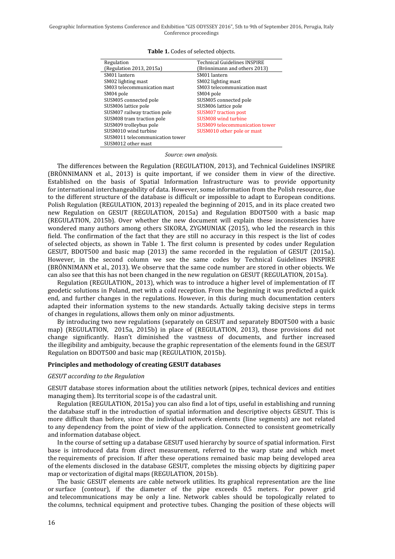Geographic Information Systems Conference and Exhibition "GIS ODYSSEY 2016", 5th to 9th of September 2016, Perugia, Italy Conference proceedings

| Regulation                      | <b>Technical Guidelines INSPIRE</b> |
|---------------------------------|-------------------------------------|
| (Regulation 2013, 2015a)        | (Brönnimann and others 2013)        |
| SM01 lantern                    | SM01 lantern                        |
| SM02 lighting mast              | SM02 lighting mast                  |
| SM03 telecommunication mast     | SM03 telecommunication mast         |
| SM04 pole                       | SM04 pole                           |
| SUSM05 connected pole           | SUSM05 connected pole               |
| SUSM06 lattice pole             | SUSM06 lattice pole                 |
| SUSM07 railway traction pole    | <b>SUSM07</b> traction post         |
| SUSM08 tram traction pole       | SUSM08 wind turbine                 |
| SUSM09 trolleybus pole          | SUSM09 telecommunication tower      |
| SUSM010 wind turbine            | SUSM010 other pole or mast          |
| SUSM011 telecommunication tower |                                     |
| SUSM012 other mast              |                                     |

**Table 1.** Codes of selected objects.

*Source: own analysis.*

The differences between the Regulation (REGULATION, 2013), and Technical Guidelines INSPIRE (BRÖNNIMANN et al., 2013) is quite important, if we consider them in view of the directive. Established on the basis of Spatial Information Infrastructure was to provide opportunity for international interchangeability of data. However, some information from the Polish resource, due to the different structure of the database is difficult or impossible to adapt to European conditions. Polish Regulation (REGULATION, 2013) repealed the beginning of 2015, and in its place created two new Regulation on GESUT (REGULATION, 2015a) and Regulation BDOT500 with a basic map (REGULATION, 2015b). Over whether the new document will explain these inconsistencies have wondered many authors among others SIKORA, ZYGMUNIAK (2015), who led the research in this field. The confirmation of the fact that they are still no accuracy in this respect is the list of codes of selected objects, as shown in Table 1. The first column is presented by codes under Regulation GESUT, BDOT500 and basic map (2013) the same recorded in the regulation of GESUT (2015a). However, in the second column we see the same codes by Technical Guidelines INSPIRE (BRÖNNIMANN et al., 2013). We observe that the same code number are stored in other objects. We can also see that this has not been changed in the new regulation on GESUT (REGULATION, 2015a).

Regulation (REGULATION,, 2013), which was to introduce a higher level of implementation of IT geodetic solutions in Poland, met with a cold reception. From the beginning it was predicted a quick end, and further changes in the regulations. However, in this during much documentation centers adapted their information systems to the new standards. Actually taking decisive steps in terms of changes in regulations, allows them only on minor adjustments.

By introducing two new regulations (separately on GESUT and separately BDOT500 with a basic map) (REGULATION, 2015a, 2015b) in place of (REGULATION, 2013), those provisions did not change significantly. Hasn't diminished the vastness of documents, and further increased the illegibility and ambiguity, because the graphic representation of the elements found in the GESUT Regulation on BDOT500 and basic map (REGULATION, 2015b).

#### **Principles and methodology of creating GESUT databases**

### *GESUT according to the Regulation*

GESUT database stores information about the utilities network (pipes, technical devices and entities managing them). Its territorial scope is of the cadastral unit.

Regulation (REGULATION, 2015a) you can also find a lot of tips, useful in establishing and running the database stuff in the introduction of spatial information and descriptive objects GESUT. This is more difficult than before, since the individual network elements (line segments) are not related to any dependency from the point of view of the application. Connected to consistent geometrically and information database object.

In the course of setting up a database GESUT used hierarchy by source of spatial information. First base is introduced data from direct measurement, referred to the warp state and which meet the requirements of precision. If after these operations remained basic map being developed area of the elements disclosed in the database GESUT, completes the missing objects by digitizing paper map or vectorization of digital maps (REGULATION, 2015b).

The basic GESUT elements are cable network utilities. Its graphical representation are the line or surface (contour), if the diameter of the pipe exceeds 0.5 meters. For power grid and telecommunications may be only a line. Network cables should be topologically related to the columns, technical equipment and protective tubes. Changing the position of these objects will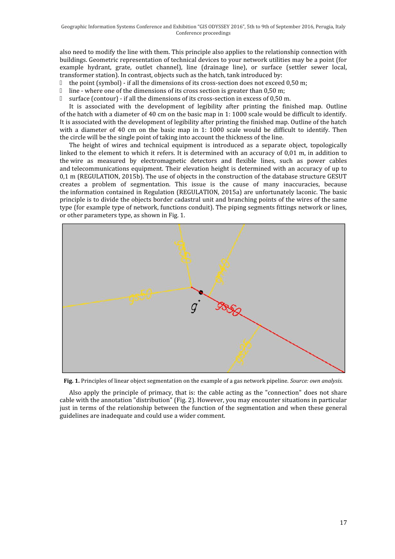also need to modify the line with them. This principle also applies to the relationship connection with buildings. Geometric representation of technical devices to your network utilities may be a point (for example hydrant, grate, outlet channel), line (drainage line), or surface (settler sewer local, transformer station). In contrast, objects such as the hatch, tank introduced by:

the point (symbol) - if all the dimensions of its cross-section does not exceed 0,50 m;

line - where one of the dimensions of its cross section is greater than 0,50 m;

surface (contour) - if all the dimensions of its cross-section in excess of 0,50 m.

It is associated with the development of legibility after printing the finished map. Outline of the hatch with a diameter of 40 cm on the basic map in 1: 1000 scale would be difficult to identify. It is associated with the development of legibility after printing the finished map. Outline of the hatch with a diameter of 40 cm on the basic map in 1: 1000 scale would be difficult to identify. Then the circle will be the single point of taking into account the thickness of the line.

The height of wires and technical equipment is introduced as a separate object, topologically linked to the element to which it refers. It is determined with an accuracy of 0,01 m, in addition to the wire as measured by electromagnetic detectors and flexible lines, such as power cables and telecommunications equipment. Their elevation height is determined with an accuracy of up to 0,1 m (REGULATION, 2015b). The use of objects in the construction of the database structure GESUT creates a problem of segmentation. This issue is the cause of many inaccuracies, because the information contained in Regulation (REGULATION, 2015a) are unfortunately laconic. The basic principle is to divide the objects border cadastral unit and branching points of the wires of the same type (for example type of network, functions conduit). The piping segments fittings network or lines, or other parameters type, as shown in Fig. 1.



**Fig. 1.** Principles of linear object segmentation on the example of a gas network pipeline. *Source: own analysis.*

Also apply the principle of primacy, that is: the cable acting as the "connection" does not share cable with the annotation "distribution" (Fig. 2). However, you may encounter situations in particular just in terms of the relationship between the function of the segmentation and when these general guidelines are inadequate and could use a wider comment.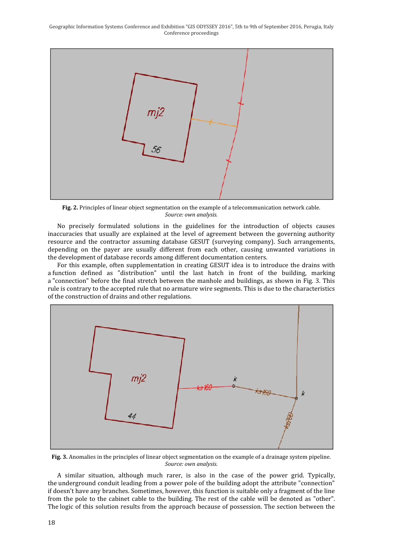Geographic Information Systems Conference and Exhibition "GIS ODYSSEY 2016", 5th to 9th of September 2016, Perugia, Italy Conference proceedings



**Fig. 2.** Principles of linear object segmentation on the example of a telecommunication network cable. *Source: own analysis.*

No precisely formulated solutions in the guidelines for the introduction of objects causes inaccuracies that usually are explained at the level of agreement between the governing authority resource and the contractor assuming database GESUT (surveying company). Such arrangements, depending on the payer are usually different from each other, causing unwanted variations in the development of database records among different documentation centers.

For this example, often supplementation in creating GESUT idea is to introduce the drains with a function defined as "distribution" until the last hatch in front of the building, marking a "connection" before the final stretch between the manhole and buildings, as shown in Fig. 3. This rule is contrary to the accepted rule that no armature wire segments. This is due to the characteristics of the construction of drains and other regulations.



**Fig. 3.** Anomalies in the principles of linear object segmentation on the example of a drainage system pipeline. *Source: own analysis.*

A similar situation, although much rarer, is also in the case of the power grid. Typically, the underground conduit leading from a power pole of the building adopt the attribute "connection" if doesn't have any branches. Sometimes, however, this function is suitable only a fragment of the line from the pole to the cabinet cable to the building. The rest of the cable will be denoted as "other". The logic of this solution results from the approach because of possession. The section between the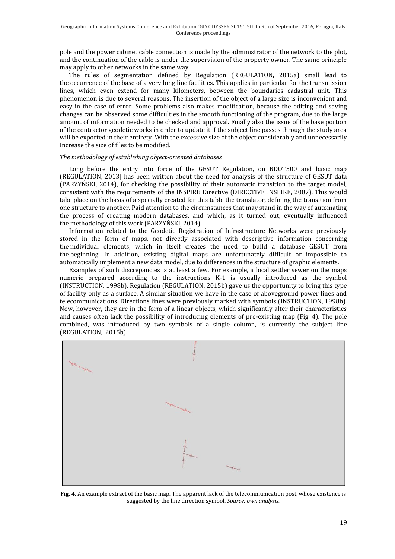pole and the power cabinet cable connection is made by the administrator of the network to the plot, and the continuation of the cable is under the supervision of the property owner. The same principle may apply to other networks in the same way.

The rules of segmentation defined by Regulation (REGULATION, 2015a) small lead to the occurrence of the base of a very long line facilities. This applies in particular for the transmission lines, which even extend for many kilometers, between the boundaries cadastral unit. This phenomenon is due to several reasons. The insertion of the object of a large size is inconvenient and easy in the case of error. Some problems also makes modification, because the editing and saving changes can be observed some difficulties in the smooth functioning of the program, due to the large amount of information needed to be checked and approval. Finally also the issue of the base portion of the contractor geodetic works in order to update it if the subject line passes through the study area will be exported in their entirety. With the excessive size of the object considerably and unnecessarily Increase the size of files to be modified.

## *The methodology of establishing object-oriented databases*

Long before the entry into force of the GESUT Regulation, on BDOT500 and basic map (REGULATION, 2013] has been written about the need for analysis of the structure of GESUT data (PARZYŃSKI, 2014), for checking the possibility of their automatic transition to the target model, consistent with the requirements of the INSPIRE Directive (DIRECTIVE INSPIRE, 2007). This would take place on the basis of a specially created for this table the translator, defining the transition from one structure to another. Paid attention to the circumstances that may stand in the way of automating the process of creating modern databases, and which, as it turned out, eventually influenced the methodology of this work (PARZYŃSKI, 2014).

Information related to the Geodetic Registration of Infrastructure Networks were previously stored in the form of maps, not directly associated with descriptive information concerning the individual elements, which in itself creates the need to build a database GESUT from the beginning. In addition, existing digital maps are unfortunately difficult or impossible to automatically implement a new data model, due to differences in the structure of graphic elements.

Examples of such discrepancies is at least a few. For example, a local settler sewer on the maps numeric prepared according to the instructions K-1 is usually introduced as the symbol (INSTRUCTION, 1998b). Regulation (REGULATION, 2015b) gave us the opportunity to bring this type of facility only as a surface. A similar situation we have in the case of aboveground power lines and telecommunications. Directions lines were previously marked with symbols (INSTRUCTION, 1998b). Now, however, they are in the form of a linear objects, which significantly alter their characteristics and causes often lack the possibility of introducing elements of pre-existing map (Fig. 4). The pole combined, was introduced by two symbols of a single column, is currently the subject line (REGULATION,, 2015b).



**Fig. 4.** An example extract of the basic map. The apparent lack of the telecommunication post, whose existence is suggested by the line direction symbol. *Source: own analysis.*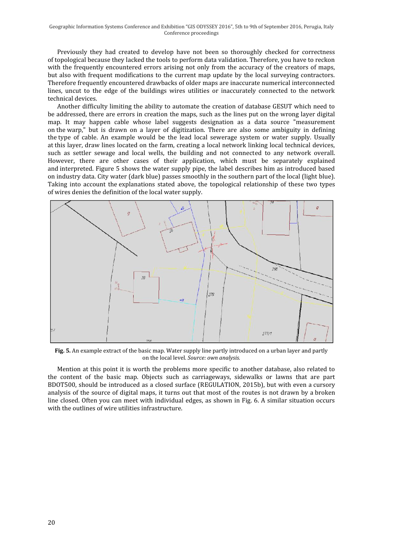Previously they had created to develop have not been so thoroughly checked for correctness of topological because they lacked the tools to perform data validation. Therefore, you have to reckon with the frequently encountered errors arising not only from the accuracy of the creators of maps, but also with frequent modifications to the current map update by the local surveying contractors. Therefore frequently encountered drawbacks of older maps are inaccurate numerical interconnected lines, uncut to the edge of the buildings wires utilities or inaccurately connected to the network technical devices.

Another difficulty limiting the ability to automate the creation of database GESUT which need to be addressed, there are errors in creation the maps, such as the lines put on the wrong layer digital map. It may happen cable whose label suggests designation as a data source "measurement on the warp," but is drawn on a layer of digitization. There are also some ambiguity in defining the type of cable. An example would be the lead local sewerage system or water supply. Usually at this layer, draw lines located on the farm, creating a local network linking local technical devices, such as settler sewage and local wells, the building and not connected to any network overall. However, there are other cases of their application, which must be separately explained and interpreted. Figure 5 shows the water supply pipe, the label describes him as introduced based on industry data. City water (dark blue) passes smoothly in the southern part of the local (light blue). Taking into account the explanations stated above, the topological relationship of these two types of wires denies the definition of the local water supply.



**Fig. 5.** An example extract of the basic map. Water supply line partly introduced on a urban layer and partly on the local level. *Source: own analysis.*

Mention at this point it is worth the problems more specific to another database, also related to the content of the basic map. Objects such as carriageways, sidewalks or lawns that are part BDOT500, should be introduced as a closed surface (REGULATION, 2015b), but with even a cursory analysis of the source of digital maps, it turns out that most of the routes is not drawn by a broken line closed. Often you can meet with individual edges, as shown in Fig. 6. A similar situation occurs with the outlines of wire utilities infrastructure.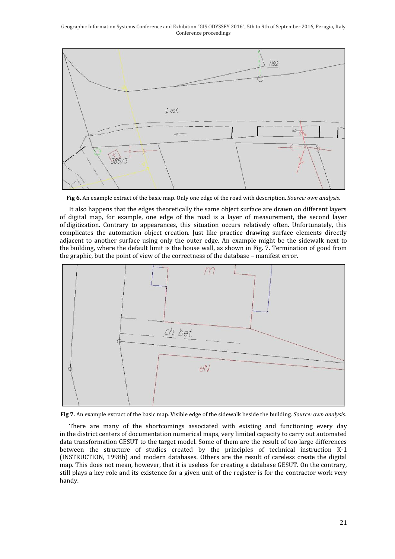Geographic Information Systems Conference and Exhibition "GIS ODYSSEY 2016", 5th to 9th of September 2016, Perugia, Italy Conference proceedings



**Fig 6.** An example extract of the basic map. Only one edge of the road with description. *Source: own analysis.*

It also happens that the edges theoretically the same object surface are drawn on different layers of digital map, for example, one edge of the road is a layer of measurement, the second layer of digitization. Contrary to appearances, this situation occurs relatively often. Unfortunately, this complicates the automation object creation. Just like practice drawing surface elements directly adjacent to another surface using only the outer edge. An example might be the sidewalk next to the building, where the default limit is the house wall, as shown in Fig. 7. Termination of good from the graphic, but the point of view of the correctness of the database – manifest error.



**Fig 7.** An example extract of the basic map. Visible edge of the sidewalk beside the building. *Source: own analysis.*

There are many of the shortcomings associated with existing and functioning every day in the district centers of documentation numerical maps, very limited capacity to carry out automated data transformation GESUT to the target model. Some of them are the result of too large differences between the structure of studies created by the principles of technical instruction K-1 (INSTRUCTION, 1998b) and modern databases. Others are the result of careless create the digital map. This does not mean, however, that it is useless for creating a database GESUT. On the contrary, still plays a key role and its existence for a given unit of the register is for the contractor work very handy.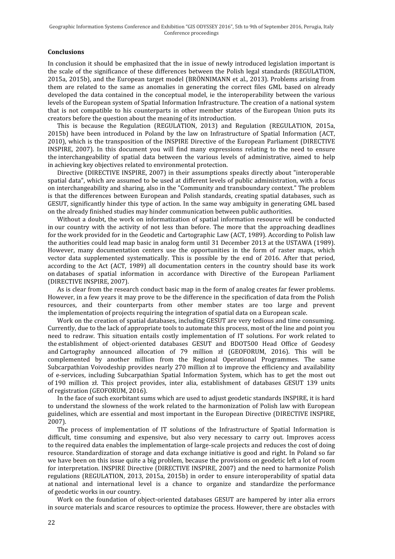## **Conclusions**

In conclusion it should be emphasized that the in issue of newly introduced legislation important is the scale of the significance of these differences between the Polish legal standards (REGULATION, 2015a, 2015b), and the European target model (BRÖNNIMANN et al., 2013). Problems arising from them are related to the same as anomalies in generating the correct files GML based on already developed the data contained in the conceptual model, ie the interoperability between the various levels of the European system of Spatial Information Infrastructure. The creation of a national system that is not compatible to his counterparts in other member states of the European Union puts its creators before the question about the meaning of its introduction.

This is because the Regulation (REGULATION, 2013) and Regulation (REGULATION, 2015a, 2015b) have been introduced in Poland by the law on Infrastructure of Spatial Information (ACT, 2010), which is the transposition of the INSPIRE Directive of the European Parliament (DIRECTIVE INSPIRE, 2007). In this document you will find many expressions relating to the need to ensure the interchangeability of spatial data between the various levels of administrative, aimed to help in achieving key objectives related to environmental protection.

Directive (DIRECTIVE INSPIRE, 2007) in their assumptions speaks directly about "interoperable spatial data", which are assumed to be used at different levels of public administration, with a focus on interchangeability and sharing, also in the "Community and transboundary context." The problem is that the differences between European and Polish standards, creating spatial databases, such as GESUT, significantly hinder this type of action. In the same way ambiguity in generating GML based on the already finished studies may hinder communication between public authorities.

Without a doubt, the work on informatization of spatial information resource will be conducted in our country with the activity of not less than before. The more that the approaching deadlines for the work provided for in the Geodetic and Cartographic Law (ACT, 1989). According to Polish law the authorities could lead map basic in analog form until 31 December 2013 at the USTAWA (1989). However, many documentation centers use the opportunities in the form of raster maps, which vector data supplemented systematically. This is possible by the end of 2016. After that period, according to the Act (ACT, 1989) all documentation centers in the country should base its work on databases of spatial information in accordance with Directive of the European Parliament (DIRECTIVE INSPIRE, 2007).

As is clear from the research conduct basic map in the form of analog creates far fewer problems. However, in a few years it may prove to be the difference in the specification of data from the Polish resources, and their counterparts from other member states are too large and prevent the implementation of projects requiring the integration of spatial data on a European scale.

Work on the creation of spatial databases, including GESUT are very tedious and time consuming. Currently, due to the lack of appropriate tools to automate this process, most of the line and point you need to redraw. This situation entails costly implementation of IT solutions. For work related to the establishment of object-oriented databases GESUT and BDOT500 Head Office of Geodesy and Cartography announced allocation of 79 million zł (GEOFORUM, 2016). This will be complemented by another million from the Regional Operational Programmes. The same Subcarpathian Voivodeship provides nearly 270 million zł to improve the efficiency and availability of e-services, including Subcarpathian Spatial Information System, which has to get the most out of 190 million zł. This project provides, inter alia, establishment of databases GESUT 139 units of registration (GEOFORUM, 2016).

In the face of such exorbitant sums which are used to adjust geodetic standards INSPIRE, it is hard to understand the slowness of the work related to the harmonization of Polish law with European guidelines, which are essential and most important in the European Directive (DIRECTIVE INSPIRE, 2007).

The process of implementation of IT solutions of the Infrastructure of Spatial Information is difficult, time consuming and expensive, but also very necessary to carry out. Improves access to the required data enables the implementation of large-scale projects and reduces the cost of doing resource. Standardization of storage and data exchange initiative is good and right. In Poland so far we have been on this issue quite a big problem, because the provisions on geodetic left a lot of room for interpretation. INSPIRE Directive (DIRECTIVE INSPIRE, 2007) and the need to harmonize Polish regulations (REGULATION, 2013, 2015a, 2015b) in order to ensure interoperability of spatial data at national and international level is a chance to organize and standardize the performance of geodetic works in our country.

Work on the foundation of object-oriented databases GESUT are hampered by inter alia errors in source materials and scarce resources to optimize the process. However, there are obstacles with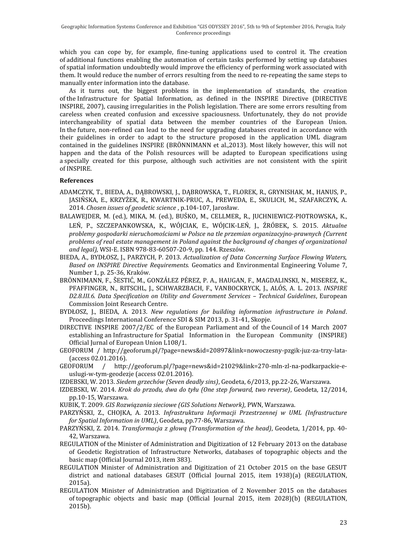which you can cope by, for example, fine-tuning applications used to control it. The creation of additional functions enabling the automation of certain tasks performed by setting up databases of spatial information undoubtedly would improve the efficiency of performing work associated with them. It would reduce the number of errors resulting from the need to re-repeating the same steps to manually enter information into the database.

As it turns out, the biggest problems in the implementation of standards, the creation of the Infrastructure for Spatial Information, as defined in the INSPIRE Directive (DIRECTIVE INSPIRE, 2007), causing irregularities in the Polish legislation. There are some errors resulting from careless when created confusion and excessive spaciousness. Unfortunately, they do not provide interchangeability of spatial data between the member countries of the European Union. In the future, non-refined can lead to the need for upgrading databases created in accordance with their guidelines in order to adapt to the structure proposed in the application UML diagram contained in the guidelines INSPIRE (BRÖNNIMANN et al.,2013). Most likely however, this will not happen and the data of the Polish resources will be adapted to European specifications using a specially created for this purpose, although such activities are not consistent with the spirit of INSPIRE.

## **References**

- ADAMCZYK, T., BIEDA, A., DĄBROWSKI, J., DĄBROWSKA, T., FLOREK, R., GRYNISHAK, M., HANUS, P., JASIŃSKA, E., KRZYŻEK, R., KWARTNIK-PRUC, A., PREWEDA, E., SKULICH, M., SZAFARCZYK, A. 2014. *Chosen issues of geodetic science* , p.104-107, Jarosław.
- BALAWEJDER, M. (ed.), MIKA, M. (ed.), BUŚKO, M., CELLMER, R., JUCHNIEWICZ-PIOTROWSKA, K., LEŃ, P., SZCZEPANKOWSKA, K., WÓJCIAK, E., WÓJCIK-LEŃ, J., ŹRÓBEK, S. 2015. *Aktualne problemy gospodarki nieruchomościami w Polsce na tle przemian organizacyjno-prawnych (Current problems of real estate management in Poland against the background of changes of organizational and legal),* WSI-E. ISBN 978-83-60507-20-9, pp. 144. Rzeszów.
- BIEDA, A., BYDŁOSZ, J., PARZYCH, P. 2013. *Actualization of Data Concerning Surface Flowing Waters, Based on INSPIRE Directive Requirements.* Geomatics and Environmental Engineering Volume 7, Number 1, p. 25-36, Kraków.
- BRÖNNIMANN, F., ŠESTIĆ, M., GONZÁLEZ PÉREZ, P. A., HAUGAN, F., MAGDALINSKI, N., MISEREZ, K., PFAFFINGER, N., RITSCHL, J., SCHWARZBACH, F., VANBOCKRYCK, J., ALÓS, A. L. 2013. *INSPIRE D2.8.III.6. Data Specification on Utility and Government Services – Technical Guidelines*, European Commission Joint Research Centre.
- BYDŁOSZ, J., BIEDA, A. 2013. *New regulations for building information infrastructure in Poland*. Proceedings International Conference SDI & SIM 2013, p. 31-41, Skopje.
- DIRECTIVE INSPIRE 2007/2/EC of the European Parliament and of the Council of 14 March 2007 establishing an Infrastructure for Spatial Information in the European Community (INSPIRE) Official Jurnal of European Union L108/1.
- GEOFORUM / http://geoforum.pl/?page=news&id=20897&link=nowoczesny-pzgik-juz-za-trzy-lata- (access 02.01.2016).<br>GEOFORUM / http:
- http://geoforum.pl/?page=news&id=21029&link=270-mln-zl-na-podkarpackie-euslugi-w-tym-geodezje (access 02.01.2016).
- IZDEBSKI, W. 2013. *Siedem grzechów (Seven deadly sins)*, Geodeta, 6/2013, pp.22-26, Warszawa.
- IZDEBSKI, W. 2014. *Krok do przodu, dwa do tyłu (One step forward, two reverse)*, Geodeta, 12/2014, pp.10-15, Warszawa.
- KUBIK, T. 2009. *GIS Rozwiązania sieciowe (GIS Solutions Network),* PWN, Warszawa.
- PARZYŃSKI, Z., CHOJKA, A. 2013. *Infrastruktura Informacji Przestrzennej w UML (Infrastructure for Spatial Information in UML)*, Geodeta, pp.77-86, Warszawa.
- PARZYŃSKI, Z. 2014. *Transformacja z głową (Transformation of the head)*, Geodeta, 1/2014, pp. 40- 42, Warszawa.
- REGULATION of the Minister of Administration and Digitization of 12 February 2013 on the database of Geodetic Registration of Infrastructure Networks, databases of topographic objects and the basic map (Official Journal 2013, item 383).
- REGULATION Minister of Administration and Digitization of 21 October 2015 on the base GESUT district and national databases GESUT (Official Journal 2015, item 1938)(a) (REGULATION, 2015a).
- REGULATION Minister of Administration and Digitization of 2 November 2015 on the databases of topographic objects and basic map (Official Journal 2015, item 2028)(b) (REGULATION, 2015b).